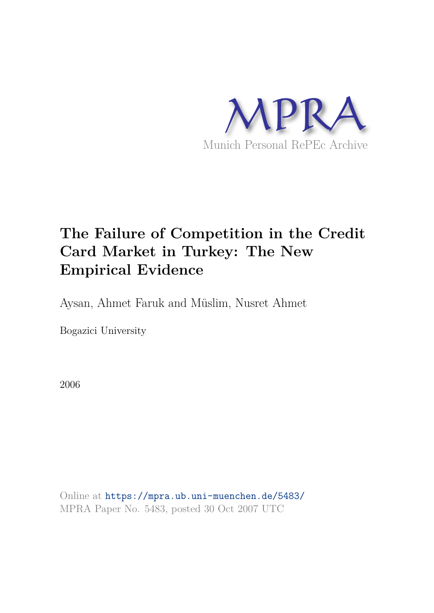

# **The Failure of Competition in the Credit Card Market in Turkey: The New Empirical Evidence**

Aysan, Ahmet Faruk and Müslim, Nusret Ahmet

Bogazici University

2006

Online at https://mpra.ub.uni-muenchen.de/5483/ MPRA Paper No. 5483, posted 30 Oct 2007 UTC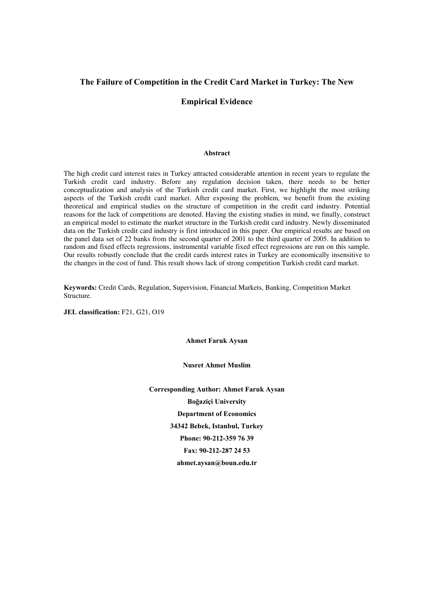#### **The Failure of Competition in the Credit Card Market in Turkey: The New**

#### **Empirical Evidence**

#### **Abstract**

The high credit card interest rates in Turkey attracted considerable attention in recent years to regulate the Turkish credit card industry. Before any regulation decision taken, there needs to be better conceptualization and analysis of the Turkish credit card market. First, we highlight the most striking aspects of the Turkish credit card market. After exposing the problem, we benefit from the existing theoretical and empirical studies on the structure of competition in the credit card industry. Potential reasons for the lack of competitions are denoted. Having the existing studies in mind, we finally, construct an empirical model to estimate the market structure in the Turkish credit card industry. Newly disseminated data on the Turkish credit card industry is first introduced in this paper. Our empirical results are based on the panel data set of 22 banks from the second quarter of 2001 to the third quarter of 2005. In addition to random and fixed effects regressions, instrumental variable fixed effect regressions are run on this sample. Our results robustly conclude that the credit cards interest rates in Turkey are economically insensitive to the changes in the cost of fund. This result shows lack of strong competition Turkish credit card market.

**Keywords:** Credit Cards, Regulation, Supervision, Financial Markets, Banking, Competition Market Structure.

**JEL classification:** F21, G21, O19

**Ahmet Faruk Aysan** 

**Nusret Ahmet Muslim** 

**Corresponding Author: Ahmet Faruk Aysan Boğaziçi University Department of Economics 34342 Bebek, Istanbul, Turkey Phone: 90-212-359 76 39 Fax: 90-212-287 24 53 ahmet.aysan@boun.edu.tr**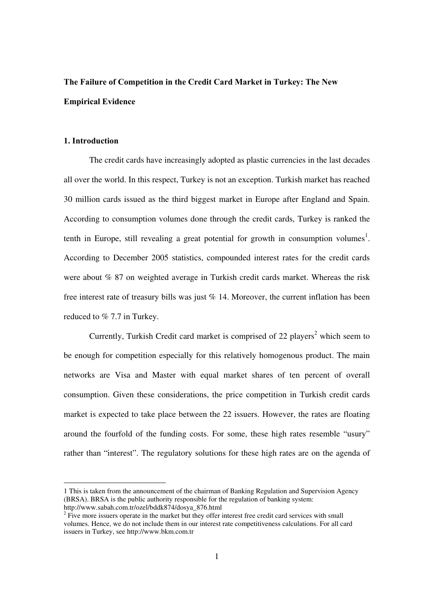# **The Failure of Competition in the Credit Card Market in Turkey: The New Empirical Evidence**

## **1. Introduction**

 $\overline{a}$ 

The credit cards have increasingly adopted as plastic currencies in the last decades all over the world. In this respect, Turkey is not an exception. Turkish market has reached 30 million cards issued as the third biggest market in Europe after England and Spain. According to consumption volumes done through the credit cards, Turkey is ranked the tenth in Europe, still revealing a great potential for growth in consumption volumes<sup>1</sup>. According to December 2005 statistics, compounded interest rates for the credit cards were about % 87 on weighted average in Turkish credit cards market. Whereas the risk free interest rate of treasury bills was just % 14. Moreover, the current inflation has been reduced to % 7.7 in Turkey.

Currently, Turkish Credit card market is comprised of 22 players<sup>2</sup> which seem to be enough for competition especially for this relatively homogenous product. The main networks are Visa and Master with equal market shares of ten percent of overall consumption. Given these considerations, the price competition in Turkish credit cards market is expected to take place between the 22 issuers. However, the rates are floating around the fourfold of the funding costs. For some, these high rates resemble "usury" rather than "interest". The regulatory solutions for these high rates are on the agenda of

<sup>1</sup> This is taken from the announcement of the chairman of Banking Regulation and Supervision Agency (BRSA). BRSA is the public authority responsible for the regulation of banking system: http://www.sabah.com.tr/ozel/bddk874/dosya\_876.html

 $2$  Five more issuers operate in the market but they offer interest free credit card services with small volumes. Hence, we do not include them in our interest rate competitiveness calculations. For all card issuers in Turkey, see http://www.bkm.com.tr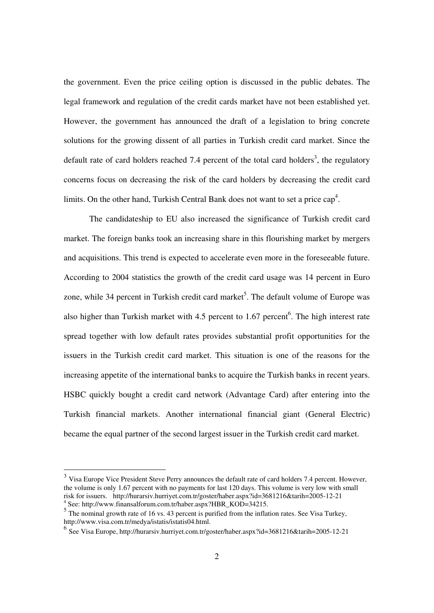the government. Even the price ceiling option is discussed in the public debates. The legal framework and regulation of the credit cards market have not been established yet. However, the government has announced the draft of a legislation to bring concrete solutions for the growing dissent of all parties in Turkish credit card market. Since the default rate of card holders reached 7.4 percent of the total card holders<sup>3</sup>, the regulatory concerns focus on decreasing the risk of the card holders by decreasing the credit card limits. On the other hand, Turkish Central Bank does not want to set a price  $cap<sup>4</sup>$ .

The candidateship to EU also increased the significance of Turkish credit card market. The foreign banks took an increasing share in this flourishing market by mergers and acquisitions. This trend is expected to accelerate even more in the foreseeable future. According to 2004 statistics the growth of the credit card usage was 14 percent in Euro zone, while 34 percent in Turkish credit card market<sup>5</sup>. The default volume of Europe was also higher than Turkish market with 4.5 percent to 1.67 percent<sup>6</sup>. The high interest rate spread together with low default rates provides substantial profit opportunities for the issuers in the Turkish credit card market. This situation is one of the reasons for the increasing appetite of the international banks to acquire the Turkish banks in recent years. HSBC quickly bought a credit card network (Advantage Card) after entering into the Turkish financial markets. Another international financial giant (General Electric) became the equal partner of the second largest issuer in the Turkish credit card market.

<sup>&</sup>lt;sup>3</sup> Visa Europe Vice President Steve Perry announces the default rate of card holders 7.4 percent. However, the volume is only 1.67 percent with no payments for last 120 days. This volume is very low with small risk for issuers. http://hurarsiv.hurriyet.com.tr/goster/haber.aspx?id=3681216&tarih=2005-12-21 4 See: http://www.finansalforum.com.tr/haber.aspx?HBR\_KOD=34215.

<sup>&</sup>lt;sup>5</sup> The nominal growth rate of 16 vs. 43 percent is purified from the inflation rates. See Visa Turkey, http://www.visa.com.tr/medya/istatis/istatis04.html.

<sup>6</sup> See Visa Europe, http://hurarsiv.hurriyet.com.tr/goster/haber.aspx?id=3681216&tarih=2005-12-21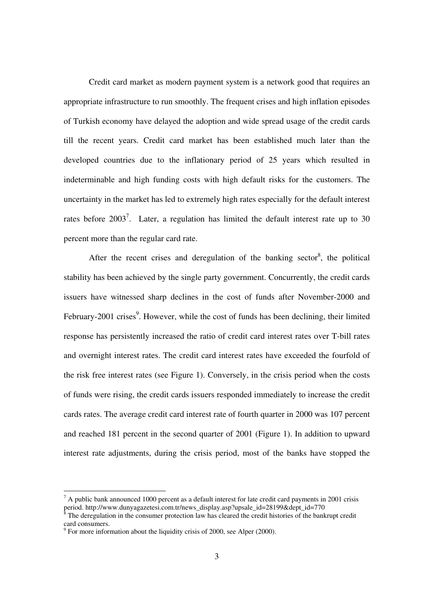Credit card market as modern payment system is a network good that requires an appropriate infrastructure to run smoothly. The frequent crises and high inflation episodes of Turkish economy have delayed the adoption and wide spread usage of the credit cards till the recent years. Credit card market has been established much later than the developed countries due to the inflationary period of 25 years which resulted in indeterminable and high funding costs with high default risks for the customers. The uncertainty in the market has led to extremely high rates especially for the default interest rates before  $2003^7$ . Later, a regulation has limited the default interest rate up to 30 percent more than the regular card rate.

After the recent crises and deregulation of the banking sector<sup>8</sup>, the political stability has been achieved by the single party government. Concurrently, the credit cards issuers have witnessed sharp declines in the cost of funds after November-2000 and February-2001 crises<sup>9</sup>. However, while the cost of funds has been declining, their limited response has persistently increased the ratio of credit card interest rates over T-bill rates and overnight interest rates. The credit card interest rates have exceeded the fourfold of the risk free interest rates (see Figure 1). Conversely, in the crisis period when the costs of funds were rising, the credit cards issuers responded immediately to increase the credit cards rates. The average credit card interest rate of fourth quarter in 2000 was 107 percent and reached 181 percent in the second quarter of 2001 (Figure 1). In addition to upward interest rate adjustments, during the crisis period, most of the banks have stopped the

 $<sup>7</sup>$  A public bank announced 1000 percent as a default interest for late credit card payments in 2001 crisis</sup> period. http://www.dunyagazetesi.com.tr/news\_display.asp?upsale\_id=28199&dept\_id=770<br><sup>8</sup> The deregulation in the consumer protection law has cleared the credit histories of the bank

The deregulation in the consumer protection law has cleared the credit histories of the bankrupt credit card consumers.<br><sup>9</sup> For more information about the liquidity crisis of 2000, see Alper (2000).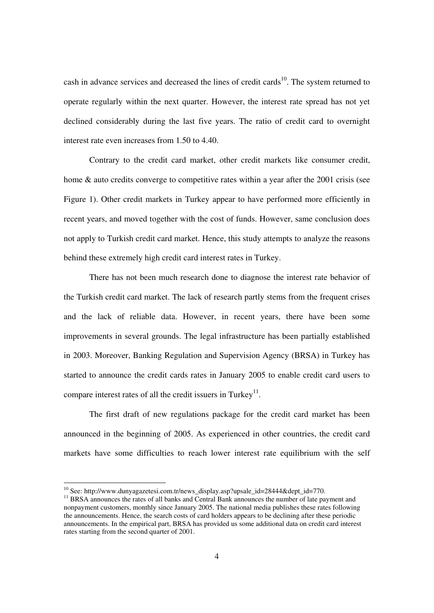cash in advance services and decreased the lines of credit cards<sup>10</sup>. The system returned to operate regularly within the next quarter. However, the interest rate spread has not yet declined considerably during the last five years. The ratio of credit card to overnight interest rate even increases from 1.50 to 4.40.

Contrary to the credit card market, other credit markets like consumer credit, home & auto credits converge to competitive rates within a year after the 2001 crisis (see Figure 1). Other credit markets in Turkey appear to have performed more efficiently in recent years, and moved together with the cost of funds. However, same conclusion does not apply to Turkish credit card market. Hence, this study attempts to analyze the reasons behind these extremely high credit card interest rates in Turkey.

There has not been much research done to diagnose the interest rate behavior of the Turkish credit card market. The lack of research partly stems from the frequent crises and the lack of reliable data. However, in recent years, there have been some improvements in several grounds. The legal infrastructure has been partially established in 2003. Moreover, Banking Regulation and Supervision Agency (BRSA) in Turkey has started to announce the credit cards rates in January 2005 to enable credit card users to compare interest rates of all the credit issuers in Turkey $<sup>11</sup>$ .</sup>

The first draft of new regulations package for the credit card market has been announced in the beginning of 2005. As experienced in other countries, the credit card markets have some difficulties to reach lower interest rate equilibrium with the self

 $\overline{a}$ 

<sup>&</sup>lt;sup>10</sup> See: http://www.dunyagazetesi.com.tr/news\_display.asp?upsale\_id=28444&dept\_id=770.

<sup>&</sup>lt;sup>11</sup> BRSA announces the rates of all banks and Central Bank announces the number of late payment and nonpayment customers, monthly since January 2005. The national media publishes these rates following the announcements. Hence, the search costs of card holders appears to be declining after these periodic announcements. In the empirical part, BRSA has provided us some additional data on credit card interest rates starting from the second quarter of 2001.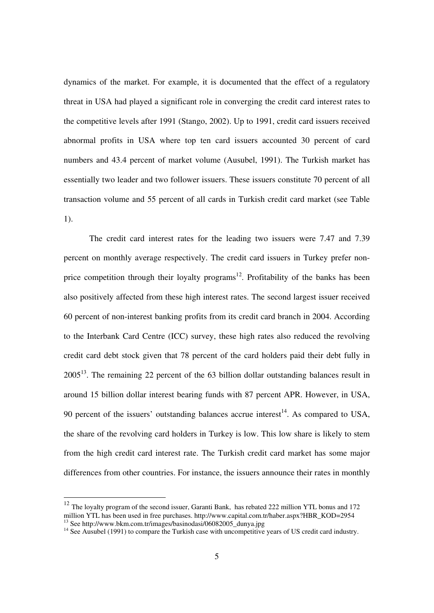dynamics of the market. For example, it is documented that the effect of a regulatory threat in USA had played a significant role in converging the credit card interest rates to the competitive levels after 1991 (Stango, 2002). Up to 1991, credit card issuers received abnormal profits in USA where top ten card issuers accounted 30 percent of card numbers and 43.4 percent of market volume (Ausubel, 1991). The Turkish market has essentially two leader and two follower issuers. These issuers constitute 70 percent of all transaction volume and 55 percent of all cards in Turkish credit card market (see Table 1).

The credit card interest rates for the leading two issuers were 7.47 and 7.39 percent on monthly average respectively. The credit card issuers in Turkey prefer nonprice competition through their loyalty programs<sup>12</sup>. Profitability of the banks has been also positively affected from these high interest rates. The second largest issuer received 60 percent of non-interest banking profits from its credit card branch in 2004. According to the Interbank Card Centre (ICC) survey, these high rates also reduced the revolving credit card debt stock given that 78 percent of the card holders paid their debt fully in  $2005<sup>13</sup>$ . The remaining 22 percent of the 63 billion dollar outstanding balances result in around 15 billion dollar interest bearing funds with 87 percent APR. However, in USA, 90 percent of the issuers' outstanding balances accrue interest<sup>14</sup>. As compared to USA, the share of the revolving card holders in Turkey is low. This low share is likely to stem from the high credit card interest rate. The Turkish credit card market has some major differences from other countries. For instance, the issuers announce their rates in monthly

<sup>&</sup>lt;sup>12</sup> The loyalty program of the second issuer, Garanti Bank, has rebated 222 million YTL bonus and 172 million YTL has been used in free purchases. http://www.capital.com.tr/haber.aspx?HBR\_KOD=2954 <sup>13</sup> See http://www.bkm.com.tr/images/basinodasi/06082005\_dunya.jpg

 $14$  See Ausubel (1991) to compare the Turkish case with uncompetitive years of US credit card industry.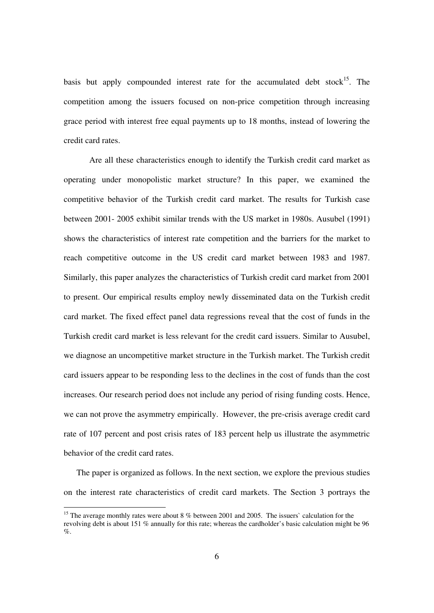basis but apply compounded interest rate for the accumulated debt stock<sup>15</sup>. The competition among the issuers focused on non-price competition through increasing grace period with interest free equal payments up to 18 months, instead of lowering the credit card rates.

Are all these characteristics enough to identify the Turkish credit card market as operating under monopolistic market structure? In this paper, we examined the competitive behavior of the Turkish credit card market. The results for Turkish case between 2001- 2005 exhibit similar trends with the US market in 1980s. Ausubel (1991) shows the characteristics of interest rate competition and the barriers for the market to reach competitive outcome in the US credit card market between 1983 and 1987. Similarly, this paper analyzes the characteristics of Turkish credit card market from 2001 to present. Our empirical results employ newly disseminated data on the Turkish credit card market. The fixed effect panel data regressions reveal that the cost of funds in the Turkish credit card market is less relevant for the credit card issuers. Similar to Ausubel, we diagnose an uncompetitive market structure in the Turkish market. The Turkish credit card issuers appear to be responding less to the declines in the cost of funds than the cost increases. Our research period does not include any period of rising funding costs. Hence, we can not prove the asymmetry empirically. However, the pre-crisis average credit card rate of 107 percent and post crisis rates of 183 percent help us illustrate the asymmetric behavior of the credit card rates.

The paper is organized as follows. In the next section, we explore the previous studies on the interest rate characteristics of credit card markets. The Section 3 portrays the

<sup>&</sup>lt;sup>15</sup> The average monthly rates were about 8 % between 2001 and 2005. The issuers` calculation for the revolving debt is about 151 % annually for this rate; whereas the cardholder's basic calculation might be 96  $\%$ .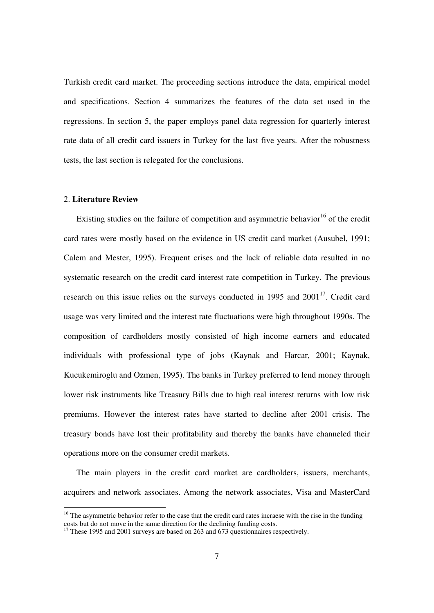Turkish credit card market. The proceeding sections introduce the data, empirical model and specifications. Section 4 summarizes the features of the data set used in the regressions. In section 5, the paper employs panel data regression for quarterly interest rate data of all credit card issuers in Turkey for the last five years. After the robustness tests, the last section is relegated for the conclusions.

#### 2. **Literature Review**

l

Existing studies on the failure of competition and asymmetric behavior<sup>16</sup> of the credit card rates were mostly based on the evidence in US credit card market (Ausubel, 1991; Calem and Mester, 1995). Frequent crises and the lack of reliable data resulted in no systematic research on the credit card interest rate competition in Turkey. The previous research on this issue relies on the surveys conducted in 1995 and  $2001<sup>17</sup>$ . Credit card usage was very limited and the interest rate fluctuations were high throughout 1990s. The composition of cardholders mostly consisted of high income earners and educated individuals with professional type of jobs (Kaynak and Harcar, 2001; Kaynak, Kucukemiroglu and Ozmen, 1995). The banks in Turkey preferred to lend money through lower risk instruments like Treasury Bills due to high real interest returns with low risk premiums. However the interest rates have started to decline after 2001 crisis. The treasury bonds have lost their profitability and thereby the banks have channeled their operations more on the consumer credit markets.

The main players in the credit card market are cardholders, issuers, merchants, acquirers and network associates. Among the network associates, Visa and MasterCard

<sup>&</sup>lt;sup>16</sup> The asymmetric behavior refer to the case that the credit card rates incraese with the rise in the funding costs but do not move in the same direction for the declining funding costs.

 $17$  These 1995 and 2001 surveys are based on 263 and 673 questionnaires respectively.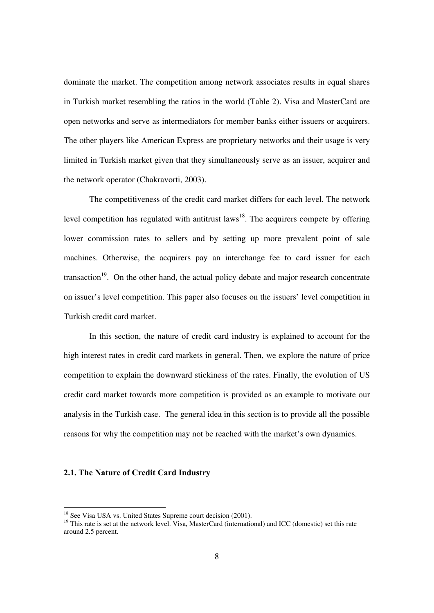dominate the market. The competition among network associates results in equal shares in Turkish market resembling the ratios in the world (Table 2). Visa and MasterCard are open networks and serve as intermediators for member banks either issuers or acquirers. The other players like American Express are proprietary networks and their usage is very limited in Turkish market given that they simultaneously serve as an issuer, acquirer and the network operator (Chakravorti, 2003).

The competitiveness of the credit card market differs for each level. The network level competition has regulated with antitrust  $laws<sup>18</sup>$ . The acquirers compete by offering lower commission rates to sellers and by setting up more prevalent point of sale machines. Otherwise, the acquirers pay an interchange fee to card issuer for each transaction<sup>19</sup>. On the other hand, the actual policy debate and major research concentrate on issuer's level competition. This paper also focuses on the issuers' level competition in Turkish credit card market.

In this section, the nature of credit card industry is explained to account for the high interest rates in credit card markets in general. Then, we explore the nature of price competition to explain the downward stickiness of the rates. Finally, the evolution of US credit card market towards more competition is provided as an example to motivate our analysis in the Turkish case. The general idea in this section is to provide all the possible reasons for why the competition may not be reached with the market's own dynamics.

#### **2.1. The Nature of Credit Card Industry**

<sup>&</sup>lt;sup>18</sup> See Visa USA vs. United States Supreme court decision (2001).

<sup>&</sup>lt;sup>19</sup> This rate is set at the network level. Visa, MasterCard (international) and ICC (domestic) set this rate around 2.5 percent.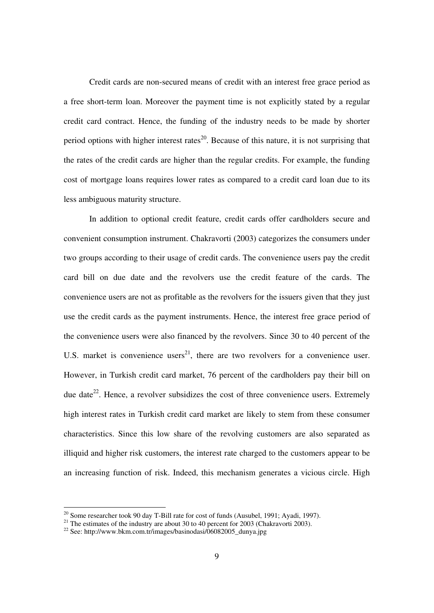Credit cards are non-secured means of credit with an interest free grace period as a free short-term loan. Moreover the payment time is not explicitly stated by a regular credit card contract. Hence, the funding of the industry needs to be made by shorter period options with higher interest rates<sup>20</sup>. Because of this nature, it is not surprising that the rates of the credit cards are higher than the regular credits. For example, the funding cost of mortgage loans requires lower rates as compared to a credit card loan due to its less ambiguous maturity structure.

In addition to optional credit feature, credit cards offer cardholders secure and convenient consumption instrument. Chakravorti (2003) categorizes the consumers under two groups according to their usage of credit cards. The convenience users pay the credit card bill on due date and the revolvers use the credit feature of the cards. The convenience users are not as profitable as the revolvers for the issuers given that they just use the credit cards as the payment instruments. Hence, the interest free grace period of the convenience users were also financed by the revolvers. Since 30 to 40 percent of the U.S. market is convenience users<sup>21</sup>, there are two revolvers for a convenience user. However, in Turkish credit card market, 76 percent of the cardholders pay their bill on due date<sup>22</sup>. Hence, a revolver subsidizes the cost of three convenience users. Extremely high interest rates in Turkish credit card market are likely to stem from these consumer characteristics. Since this low share of the revolving customers are also separated as illiquid and higher risk customers, the interest rate charged to the customers appear to be an increasing function of risk. Indeed, this mechanism generates a vicious circle. High

<sup>&</sup>lt;sup>20</sup> Some researcher took 90 day T-Bill rate for cost of funds (Ausubel, 1991; Ayadi, 1997).

<sup>&</sup>lt;sup>21</sup> The estimates of the industry are about 30 to 40 percent for 2003 (Chakravorti 2003).

 $^{22}$  See: http://www.bkm.com.tr/images/basinodasi/06082005\_dunya.jpg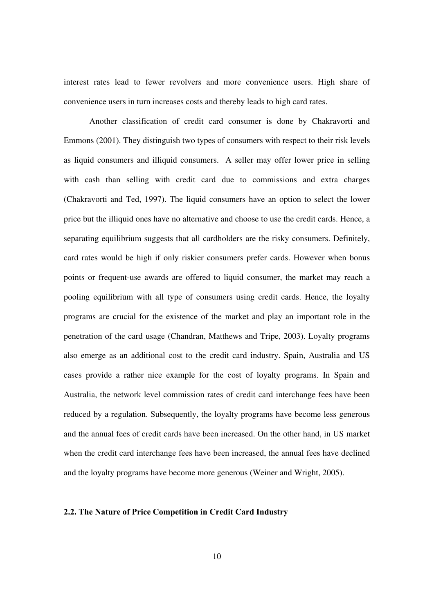interest rates lead to fewer revolvers and more convenience users. High share of convenience users in turn increases costs and thereby leads to high card rates.

Another classification of credit card consumer is done by Chakravorti and Emmons (2001). They distinguish two types of consumers with respect to their risk levels as liquid consumers and illiquid consumers. A seller may offer lower price in selling with cash than selling with credit card due to commissions and extra charges (Chakravorti and Ted, 1997). The liquid consumers have an option to select the lower price but the illiquid ones have no alternative and choose to use the credit cards. Hence, a separating equilibrium suggests that all cardholders are the risky consumers. Definitely, card rates would be high if only riskier consumers prefer cards. However when bonus points or frequent-use awards are offered to liquid consumer, the market may reach a pooling equilibrium with all type of consumers using credit cards. Hence, the loyalty programs are crucial for the existence of the market and play an important role in the penetration of the card usage (Chandran, Matthews and Tripe, 2003). Loyalty programs also emerge as an additional cost to the credit card industry. Spain, Australia and US cases provide a rather nice example for the cost of loyalty programs. In Spain and Australia, the network level commission rates of credit card interchange fees have been reduced by a regulation. Subsequently, the loyalty programs have become less generous and the annual fees of credit cards have been increased. On the other hand, in US market when the credit card interchange fees have been increased, the annual fees have declined and the loyalty programs have become more generous (Weiner and Wright, 2005).

### **2.2. The Nature of Price Competition in Credit Card Industry**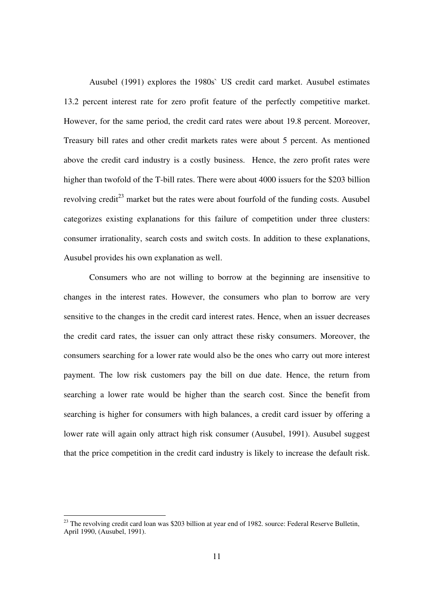Ausubel (1991) explores the 1980s` US credit card market. Ausubel estimates 13.2 percent interest rate for zero profit feature of the perfectly competitive market. However, for the same period, the credit card rates were about 19.8 percent. Moreover, Treasury bill rates and other credit markets rates were about 5 percent. As mentioned above the credit card industry is a costly business. Hence, the zero profit rates were higher than twofold of the T-bill rates. There were about 4000 issuers for the \$203 billion revolving credit $^{23}$  market but the rates were about fourfold of the funding costs. Ausubel categorizes existing explanations for this failure of competition under three clusters: consumer irrationality, search costs and switch costs. In addition to these explanations, Ausubel provides his own explanation as well.

Consumers who are not willing to borrow at the beginning are insensitive to changes in the interest rates. However, the consumers who plan to borrow are very sensitive to the changes in the credit card interest rates. Hence, when an issuer decreases the credit card rates, the issuer can only attract these risky consumers. Moreover, the consumers searching for a lower rate would also be the ones who carry out more interest payment. The low risk customers pay the bill on due date. Hence, the return from searching a lower rate would be higher than the search cost. Since the benefit from searching is higher for consumers with high balances, a credit card issuer by offering a lower rate will again only attract high risk consumer (Ausubel, 1991). Ausubel suggest that the price competition in the credit card industry is likely to increase the default risk.

 $23$  The revolving credit card loan was \$203 billion at year end of 1982. source: Federal Reserve Bulletin, April 1990, (Ausubel, 1991).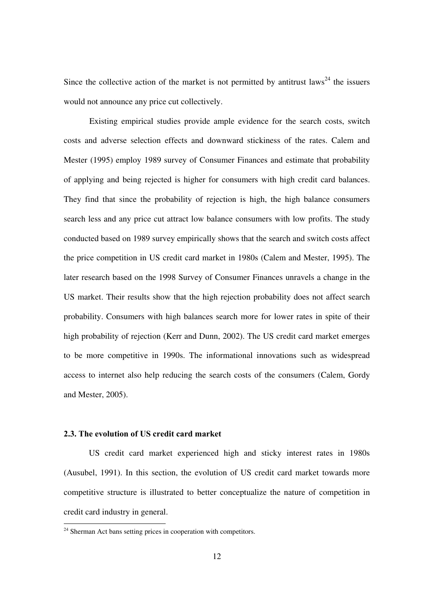Since the collective action of the market is not permitted by antitrust laws<sup>24</sup> the issuers would not announce any price cut collectively.

Existing empirical studies provide ample evidence for the search costs, switch costs and adverse selection effects and downward stickiness of the rates. Calem and Mester (1995) employ 1989 survey of Consumer Finances and estimate that probability of applying and being rejected is higher for consumers with high credit card balances. They find that since the probability of rejection is high, the high balance consumers search less and any price cut attract low balance consumers with low profits. The study conducted based on 1989 survey empirically shows that the search and switch costs affect the price competition in US credit card market in 1980s (Calem and Mester, 1995). The later research based on the 1998 Survey of Consumer Finances unravels a change in the US market. Their results show that the high rejection probability does not affect search probability. Consumers with high balances search more for lower rates in spite of their high probability of rejection (Kerr and Dunn, 2002). The US credit card market emerges to be more competitive in 1990s. The informational innovations such as widespread access to internet also help reducing the search costs of the consumers (Calem, Gordy and Mester, 2005).

#### **2.3. The evolution of US credit card market**

l

 US credit card market experienced high and sticky interest rates in 1980s (Ausubel, 1991). In this section, the evolution of US credit card market towards more competitive structure is illustrated to better conceptualize the nature of competition in credit card industry in general.

 $24$  Sherman Act bans setting prices in cooperation with competitors.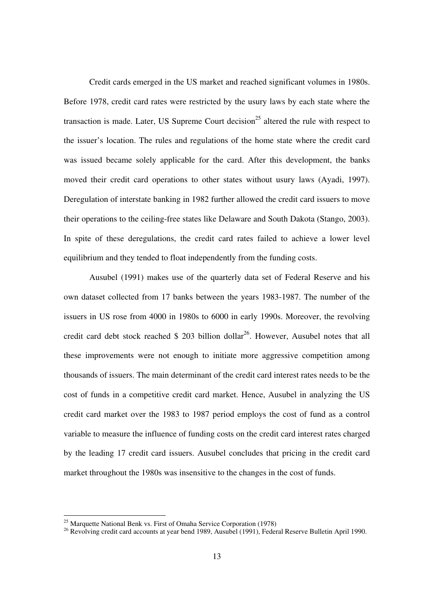Credit cards emerged in the US market and reached significant volumes in 1980s. Before 1978, credit card rates were restricted by the usury laws by each state where the transaction is made. Later, US Supreme Court decision<sup>25</sup> altered the rule with respect to the issuer's location. The rules and regulations of the home state where the credit card was issued became solely applicable for the card. After this development, the banks moved their credit card operations to other states without usury laws (Ayadi, 1997). Deregulation of interstate banking in 1982 further allowed the credit card issuers to move their operations to the ceiling-free states like Delaware and South Dakota (Stango, 2003). In spite of these deregulations, the credit card rates failed to achieve a lower level equilibrium and they tended to float independently from the funding costs.

Ausubel (1991) makes use of the quarterly data set of Federal Reserve and his own dataset collected from 17 banks between the years 1983-1987. The number of the issuers in US rose from 4000 in 1980s to 6000 in early 1990s. Moreover, the revolving credit card debt stock reached  $$ 203$  billion dollar<sup>26</sup>. However, Ausubel notes that all these improvements were not enough to initiate more aggressive competition among thousands of issuers. The main determinant of the credit card interest rates needs to be the cost of funds in a competitive credit card market. Hence, Ausubel in analyzing the US credit card market over the 1983 to 1987 period employs the cost of fund as a control variable to measure the influence of funding costs on the credit card interest rates charged by the leading 17 credit card issuers. Ausubel concludes that pricing in the credit card market throughout the 1980s was insensitive to the changes in the cost of funds.

<sup>&</sup>lt;sup>25</sup> Marquette National Benk vs. First of Omaha Service Corporation (1978)

<sup>&</sup>lt;sup>26</sup> Revolving credit card accounts at year bend 1989, Ausubel (1991), Federal Reserve Bulletin April 1990.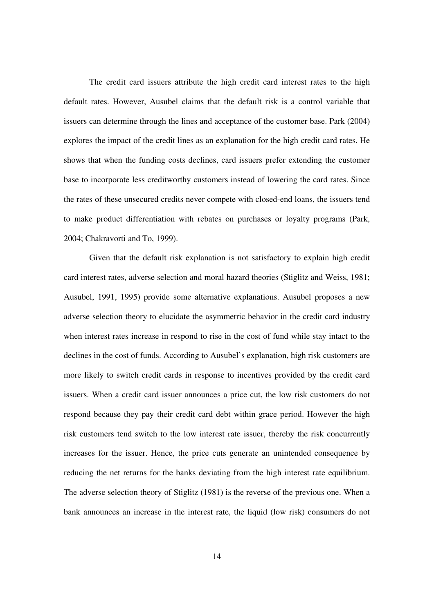The credit card issuers attribute the high credit card interest rates to the high default rates. However, Ausubel claims that the default risk is a control variable that issuers can determine through the lines and acceptance of the customer base. Park (2004) explores the impact of the credit lines as an explanation for the high credit card rates. He shows that when the funding costs declines, card issuers prefer extending the customer base to incorporate less creditworthy customers instead of lowering the card rates. Since the rates of these unsecured credits never compete with closed-end loans, the issuers tend to make product differentiation with rebates on purchases or loyalty programs (Park, 2004; Chakravorti and To, 1999).

Given that the default risk explanation is not satisfactory to explain high credit card interest rates, adverse selection and moral hazard theories (Stiglitz and Weiss, 1981; Ausubel, 1991, 1995) provide some alternative explanations. Ausubel proposes a new adverse selection theory to elucidate the asymmetric behavior in the credit card industry when interest rates increase in respond to rise in the cost of fund while stay intact to the declines in the cost of funds. According to Ausubel's explanation, high risk customers are more likely to switch credit cards in response to incentives provided by the credit card issuers. When a credit card issuer announces a price cut, the low risk customers do not respond because they pay their credit card debt within grace period. However the high risk customers tend switch to the low interest rate issuer, thereby the risk concurrently increases for the issuer. Hence, the price cuts generate an unintended consequence by reducing the net returns for the banks deviating from the high interest rate equilibrium. The adverse selection theory of Stiglitz (1981) is the reverse of the previous one. When a bank announces an increase in the interest rate, the liquid (low risk) consumers do not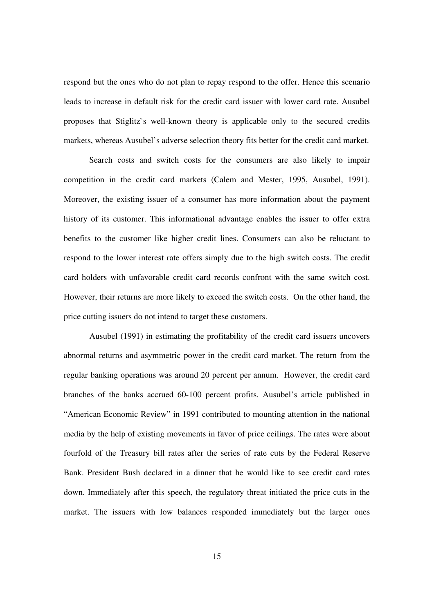respond but the ones who do not plan to repay respond to the offer. Hence this scenario leads to increase in default risk for the credit card issuer with lower card rate. Ausubel proposes that Stiglitz`s well-known theory is applicable only to the secured credits markets, whereas Ausubel's adverse selection theory fits better for the credit card market.

Search costs and switch costs for the consumers are also likely to impair competition in the credit card markets (Calem and Mester, 1995, Ausubel, 1991). Moreover, the existing issuer of a consumer has more information about the payment history of its customer. This informational advantage enables the issuer to offer extra benefits to the customer like higher credit lines. Consumers can also be reluctant to respond to the lower interest rate offers simply due to the high switch costs. The credit card holders with unfavorable credit card records confront with the same switch cost. However, their returns are more likely to exceed the switch costs. On the other hand, the price cutting issuers do not intend to target these customers.

Ausubel (1991) in estimating the profitability of the credit card issuers uncovers abnormal returns and asymmetric power in the credit card market. The return from the regular banking operations was around 20 percent per annum. However, the credit card branches of the banks accrued 60-100 percent profits. Ausubel's article published in "American Economic Review" in 1991 contributed to mounting attention in the national media by the help of existing movements in favor of price ceilings. The rates were about fourfold of the Treasury bill rates after the series of rate cuts by the Federal Reserve Bank. President Bush declared in a dinner that he would like to see credit card rates down. Immediately after this speech, the regulatory threat initiated the price cuts in the market. The issuers with low balances responded immediately but the larger ones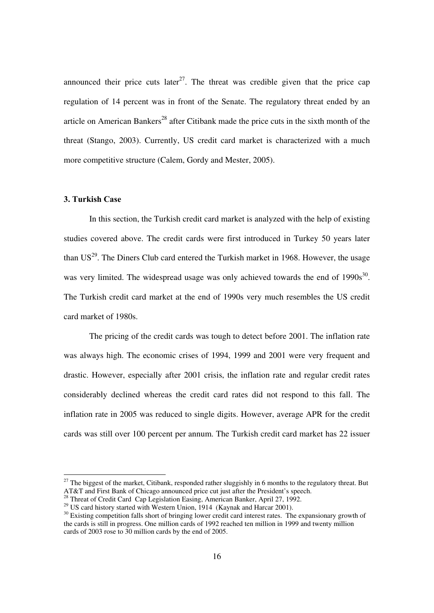announced their price cuts later<sup>27</sup>. The threat was credible given that the price cap regulation of 14 percent was in front of the Senate. The regulatory threat ended by an article on American Bankers<sup>28</sup> after Citibank made the price cuts in the sixth month of the threat (Stango, 2003). Currently, US credit card market is characterized with a much more competitive structure (Calem, Gordy and Mester, 2005).

#### **3. Turkish Case**

 $\overline{a}$ 

In this section, the Turkish credit card market is analyzed with the help of existing studies covered above. The credit cards were first introduced in Turkey 50 years later than  $US^{29}$ . The Diners Club card entered the Turkish market in 1968. However, the usage was very limited. The widespread usage was only achieved towards the end of  $1990s^{30}$ . The Turkish credit card market at the end of 1990s very much resembles the US credit card market of 1980s.

The pricing of the credit cards was tough to detect before 2001. The inflation rate was always high. The economic crises of 1994, 1999 and 2001 were very frequent and drastic. However, especially after 2001 crisis, the inflation rate and regular credit rates considerably declined whereas the credit card rates did not respond to this fall. The inflation rate in 2005 was reduced to single digits. However, average APR for the credit cards was still over 100 percent per annum. The Turkish credit card market has 22 issuer

 $27$  The biggest of the market, Citibank, responded rather sluggishly in 6 months to the regulatory threat. But AT&T and First Bank of Chicago announced price cut just after the President's speech.

<sup>&</sup>lt;sup>28</sup> Threat of Credit Card Cap Legislation Easing, American Banker, April 27, 1992.

<sup>&</sup>lt;sup>29</sup> US card history started with Western Union, 1914 (Kaynak and Harcar 2001).

<sup>&</sup>lt;sup>30</sup> Existing competition falls short of bringing lower credit card interest rates. The expansionary growth of the cards is still in progress. One million cards of 1992 reached ten million in 1999 and twenty million cards of 2003 rose to 30 million cards by the end of 2005.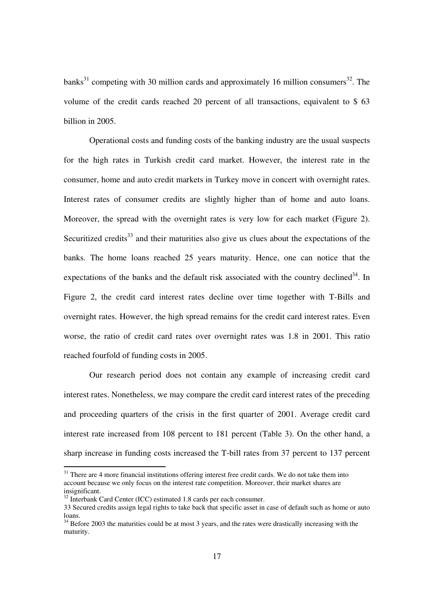banks<sup>31</sup> competing with 30 million cards and approximately 16 million consumers<sup>32</sup>. The volume of the credit cards reached 20 percent of all transactions, equivalent to \$ 63 billion in 2005.

Operational costs and funding costs of the banking industry are the usual suspects for the high rates in Turkish credit card market. However, the interest rate in the consumer, home and auto credit markets in Turkey move in concert with overnight rates. Interest rates of consumer credits are slightly higher than of home and auto loans. Moreover, the spread with the overnight rates is very low for each market (Figure 2). Securitized credits<sup>33</sup> and their maturities also give us clues about the expectations of the banks. The home loans reached 25 years maturity. Hence, one can notice that the expectations of the banks and the default risk associated with the country declined<sup>34</sup>. In Figure 2, the credit card interest rates decline over time together with T-Bills and overnight rates. However, the high spread remains for the credit card interest rates. Even worse, the ratio of credit card rates over overnight rates was 1.8 in 2001. This ratio reached fourfold of funding costs in 2005.

Our research period does not contain any example of increasing credit card interest rates. Nonetheless, we may compare the credit card interest rates of the preceding and proceeding quarters of the crisis in the first quarter of 2001. Average credit card interest rate increased from 108 percent to 181 percent (Table 3). On the other hand, a sharp increase in funding costs increased the T-bill rates from 37 percent to 137 percent

<sup>&</sup>lt;sup>31</sup> There are 4 more financial institutions offering interest free credit cards. We do not take them into account because we only focus on the interest rate competition. Moreover, their market shares are insignificant.

 $32$  Interbank Card Center (ICC) estimated 1.8 cards per each consumer.

<sup>33</sup> Secured credits assign legal rights to take back that specific asset in case of default such as home or auto loans.

<sup>&</sup>lt;sup>34</sup> Before 2003 the maturities could be at most 3 years, and the rates were drastically increasing with the maturity.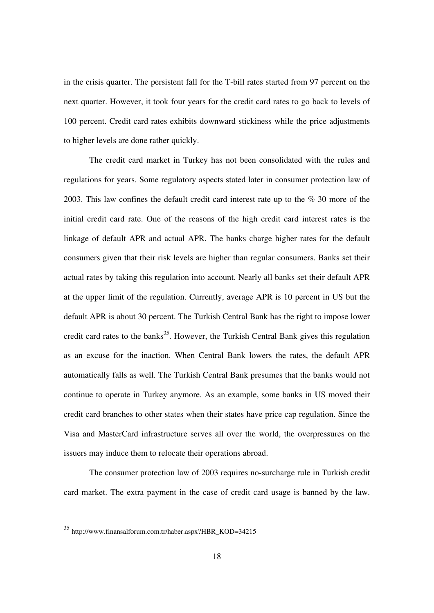in the crisis quarter. The persistent fall for the T-bill rates started from 97 percent on the next quarter. However, it took four years for the credit card rates to go back to levels of 100 percent. Credit card rates exhibits downward stickiness while the price adjustments to higher levels are done rather quickly.

The credit card market in Turkey has not been consolidated with the rules and regulations for years. Some regulatory aspects stated later in consumer protection law of 2003. This law confines the default credit card interest rate up to the % 30 more of the initial credit card rate. One of the reasons of the high credit card interest rates is the linkage of default APR and actual APR. The banks charge higher rates for the default consumers given that their risk levels are higher than regular consumers. Banks set their actual rates by taking this regulation into account. Nearly all banks set their default APR at the upper limit of the regulation. Currently, average APR is 10 percent in US but the default APR is about 30 percent. The Turkish Central Bank has the right to impose lower credit card rates to the banks<sup>35</sup>. However, the Turkish Central Bank gives this regulation as an excuse for the inaction. When Central Bank lowers the rates, the default APR automatically falls as well. The Turkish Central Bank presumes that the banks would not continue to operate in Turkey anymore. As an example, some banks in US moved their credit card branches to other states when their states have price cap regulation. Since the Visa and MasterCard infrastructure serves all over the world, the overpressures on the issuers may induce them to relocate their operations abroad.

The consumer protection law of 2003 requires no-surcharge rule in Turkish credit card market. The extra payment in the case of credit card usage is banned by the law.

<sup>35</sup> http://www.finansalforum.com.tr/haber.aspx?HBR\_KOD=34215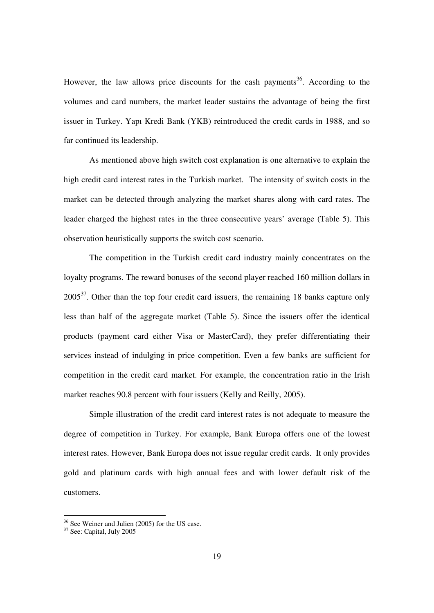However, the law allows price discounts for the cash payments<sup>36</sup>. According to the volumes and card numbers, the market leader sustains the advantage of being the first issuer in Turkey. Yapı Kredi Bank (YKB) reintroduced the credit cards in 1988, and so far continued its leadership.

As mentioned above high switch cost explanation is one alternative to explain the high credit card interest rates in the Turkish market. The intensity of switch costs in the market can be detected through analyzing the market shares along with card rates. The leader charged the highest rates in the three consecutive years' average (Table 5). This observation heuristically supports the switch cost scenario.

The competition in the Turkish credit card industry mainly concentrates on the loyalty programs. The reward bonuses of the second player reached 160 million dollars in  $2005<sup>37</sup>$ . Other than the top four credit card issuers, the remaining 18 banks capture only less than half of the aggregate market (Table 5). Since the issuers offer the identical products (payment card either Visa or MasterCard), they prefer differentiating their services instead of indulging in price competition. Even a few banks are sufficient for competition in the credit card market. For example, the concentration ratio in the Irish market reaches 90.8 percent with four issuers (Kelly and Reilly, 2005).

Simple illustration of the credit card interest rates is not adequate to measure the degree of competition in Turkey. For example, Bank Europa offers one of the lowest interest rates. However, Bank Europa does not issue regular credit cards. It only provides gold and platinum cards with high annual fees and with lower default risk of the customers.

<sup>&</sup>lt;sup>36</sup> See Weiner and Julien (2005) for the US case.

 $37$  See: Capital, July 2005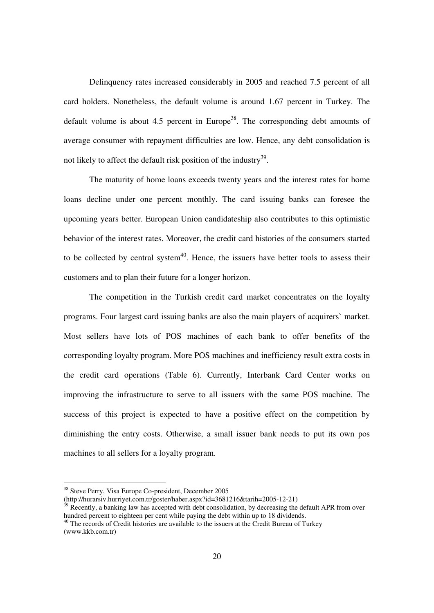Delinquency rates increased considerably in 2005 and reached 7.5 percent of all card holders. Nonetheless, the default volume is around 1.67 percent in Turkey. The default volume is about 4.5 percent in Europe<sup>38</sup>. The corresponding debt amounts of average consumer with repayment difficulties are low. Hence, any debt consolidation is not likely to affect the default risk position of the industry<sup>39</sup>.

The maturity of home loans exceeds twenty years and the interest rates for home loans decline under one percent monthly. The card issuing banks can foresee the upcoming years better. European Union candidateship also contributes to this optimistic behavior of the interest rates. Moreover, the credit card histories of the consumers started to be collected by central system $40$ . Hence, the issuers have better tools to assess their customers and to plan their future for a longer horizon.

The competition in the Turkish credit card market concentrates on the loyalty programs. Four largest card issuing banks are also the main players of acquirers` market. Most sellers have lots of POS machines of each bank to offer benefits of the corresponding loyalty program. More POS machines and inefficiency result extra costs in the credit card operations (Table 6). Currently, Interbank Card Center works on improving the infrastructure to serve to all issuers with the same POS machine. The success of this project is expected to have a positive effect on the competition by diminishing the entry costs. Otherwise, a small issuer bank needs to put its own pos machines to all sellers for a loyalty program.

 $\overline{a}$ 

<sup>&</sup>lt;sup>38</sup> Steve Perry, Visa Europe Co-president, December 2005

<sup>(</sup>http://hurarsiv.hurriyet.com.tr/goster/haber.aspx?id=3681216&tarih=2005-12-21)

Recently, a banking law has accepted with debt consolidation, by decreasing the default APR from over hundred percent to eighteen per cent while paying the debt within up to 18 dividends.

 $40$  The records of Credit histories are available to the issuers at the Credit Bureau of Turkey (www.kkb.com.tr)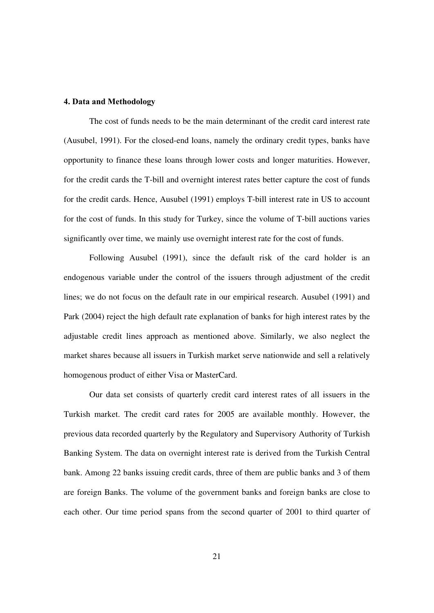#### **4. Data and Methodology**

The cost of funds needs to be the main determinant of the credit card interest rate (Ausubel, 1991). For the closed-end loans, namely the ordinary credit types, banks have opportunity to finance these loans through lower costs and longer maturities. However, for the credit cards the T-bill and overnight interest rates better capture the cost of funds for the credit cards. Hence, Ausubel (1991) employs T-bill interest rate in US to account for the cost of funds. In this study for Turkey, since the volume of T-bill auctions varies significantly over time, we mainly use overnight interest rate for the cost of funds.

Following Ausubel (1991), since the default risk of the card holder is an endogenous variable under the control of the issuers through adjustment of the credit lines; we do not focus on the default rate in our empirical research. Ausubel (1991) and Park (2004) reject the high default rate explanation of banks for high interest rates by the adjustable credit lines approach as mentioned above. Similarly, we also neglect the market shares because all issuers in Turkish market serve nationwide and sell a relatively homogenous product of either Visa or MasterCard.

Our data set consists of quarterly credit card interest rates of all issuers in the Turkish market. The credit card rates for 2005 are available monthly. However, the previous data recorded quarterly by the Regulatory and Supervisory Authority of Turkish Banking System. The data on overnight interest rate is derived from the Turkish Central bank. Among 22 banks issuing credit cards, three of them are public banks and 3 of them are foreign Banks. The volume of the government banks and foreign banks are close to each other. Our time period spans from the second quarter of 2001 to third quarter of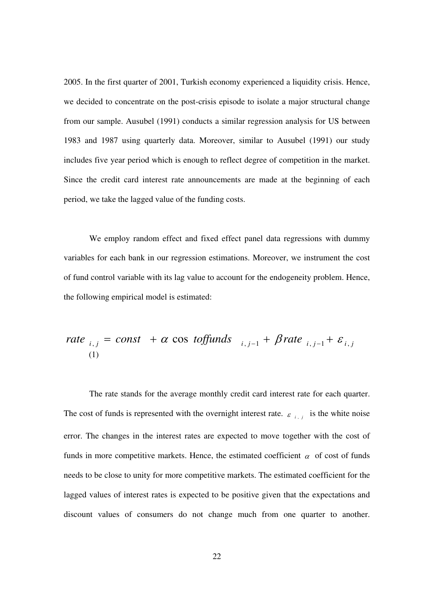2005. In the first quarter of 2001, Turkish economy experienced a liquidity crisis. Hence, we decided to concentrate on the post-crisis episode to isolate a major structural change from our sample. Ausubel (1991) conducts a similar regression analysis for US between 1983 and 1987 using quarterly data. Moreover, similar to Ausubel (1991) our study includes five year period which is enough to reflect degree of competition in the market. Since the credit card interest rate announcements are made at the beginning of each period, we take the lagged value of the funding costs.

We employ random effect and fixed effect panel data regressions with dummy variables for each bank in our regression estimations. Moreover, we instrument the cost of fund control variable with its lag value to account for the endogeneity problem. Hence, the following empirical model is estimated:

rate 
$$
_{i,j}
$$
 = const +  $\alpha$  cos toffunds  $_{i,j-1}$  +  $\beta$  rate  $_{i,j-1}$  +  $\varepsilon$ <sub>i,j</sub> (1)

The rate stands for the average monthly credit card interest rate for each quarter. The cost of funds is represented with the overnight interest rate.  $\varepsilon_{i,j}$  is the white noise error. The changes in the interest rates are expected to move together with the cost of funds in more competitive markets. Hence, the estimated coefficient  $\alpha$  of cost of funds needs to be close to unity for more competitive markets. The estimated coefficient for the lagged values of interest rates is expected to be positive given that the expectations and discount values of consumers do not change much from one quarter to another.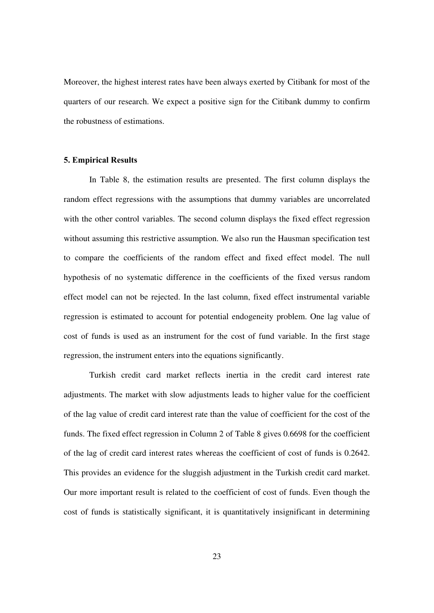Moreover, the highest interest rates have been always exerted by Citibank for most of the quarters of our research. We expect a positive sign for the Citibank dummy to confirm the robustness of estimations.

### **5. Empirical Results**

In Table 8, the estimation results are presented. The first column displays the random effect regressions with the assumptions that dummy variables are uncorrelated with the other control variables. The second column displays the fixed effect regression without assuming this restrictive assumption. We also run the Hausman specification test to compare the coefficients of the random effect and fixed effect model. The null hypothesis of no systematic difference in the coefficients of the fixed versus random effect model can not be rejected. In the last column, fixed effect instrumental variable regression is estimated to account for potential endogeneity problem. One lag value of cost of funds is used as an instrument for the cost of fund variable. In the first stage regression, the instrument enters into the equations significantly.

Turkish credit card market reflects inertia in the credit card interest rate adjustments. The market with slow adjustments leads to higher value for the coefficient of the lag value of credit card interest rate than the value of coefficient for the cost of the funds. The fixed effect regression in Column 2 of Table 8 gives 0.6698 for the coefficient of the lag of credit card interest rates whereas the coefficient of cost of funds is 0.2642. This provides an evidence for the sluggish adjustment in the Turkish credit card market. Our more important result is related to the coefficient of cost of funds. Even though the cost of funds is statistically significant, it is quantitatively insignificant in determining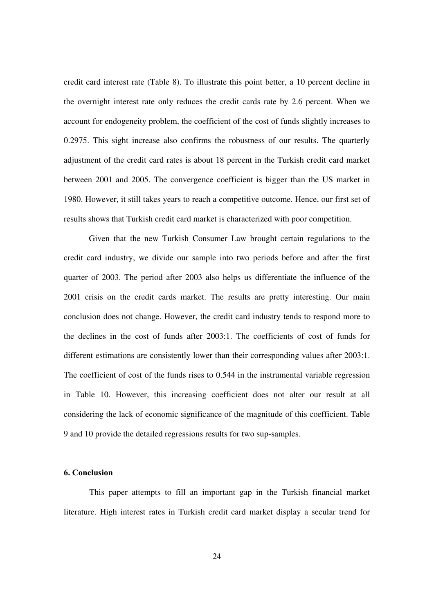credit card interest rate (Table 8). To illustrate this point better, a 10 percent decline in the overnight interest rate only reduces the credit cards rate by 2.6 percent. When we account for endogeneity problem, the coefficient of the cost of funds slightly increases to 0.2975. This sight increase also confirms the robustness of our results. The quarterly adjustment of the credit card rates is about 18 percent in the Turkish credit card market between 2001 and 2005. The convergence coefficient is bigger than the US market in 1980. However, it still takes years to reach a competitive outcome. Hence, our first set of results shows that Turkish credit card market is characterized with poor competition.

 Given that the new Turkish Consumer Law brought certain regulations to the credit card industry, we divide our sample into two periods before and after the first quarter of 2003. The period after 2003 also helps us differentiate the influence of the 2001 crisis on the credit cards market. The results are pretty interesting. Our main conclusion does not change. However, the credit card industry tends to respond more to the declines in the cost of funds after 2003:1. The coefficients of cost of funds for different estimations are consistently lower than their corresponding values after 2003:1. The coefficient of cost of the funds rises to 0.544 in the instrumental variable regression in Table 10. However, this increasing coefficient does not alter our result at all considering the lack of economic significance of the magnitude of this coefficient. Table 9 and 10 provide the detailed regressions results for two sup-samples.

#### **6. Conclusion**

This paper attempts to fill an important gap in the Turkish financial market literature. High interest rates in Turkish credit card market display a secular trend for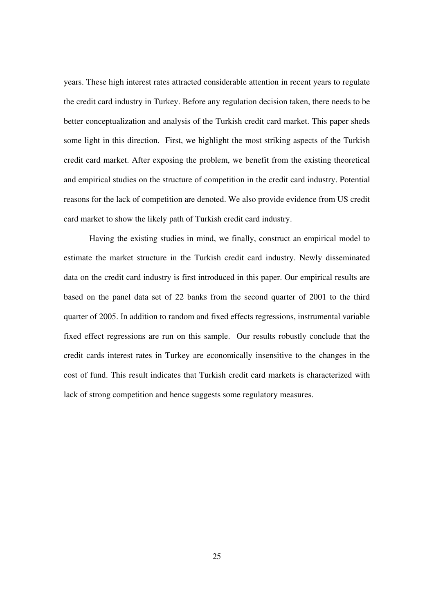years. These high interest rates attracted considerable attention in recent years to regulate the credit card industry in Turkey. Before any regulation decision taken, there needs to be better conceptualization and analysis of the Turkish credit card market. This paper sheds some light in this direction. First, we highlight the most striking aspects of the Turkish credit card market. After exposing the problem, we benefit from the existing theoretical and empirical studies on the structure of competition in the credit card industry. Potential reasons for the lack of competition are denoted. We also provide evidence from US credit card market to show the likely path of Turkish credit card industry.

Having the existing studies in mind, we finally, construct an empirical model to estimate the market structure in the Turkish credit card industry. Newly disseminated data on the credit card industry is first introduced in this paper. Our empirical results are based on the panel data set of 22 banks from the second quarter of 2001 to the third quarter of 2005. In addition to random and fixed effects regressions, instrumental variable fixed effect regressions are run on this sample. Our results robustly conclude that the credit cards interest rates in Turkey are economically insensitive to the changes in the cost of fund. This result indicates that Turkish credit card markets is characterized with lack of strong competition and hence suggests some regulatory measures.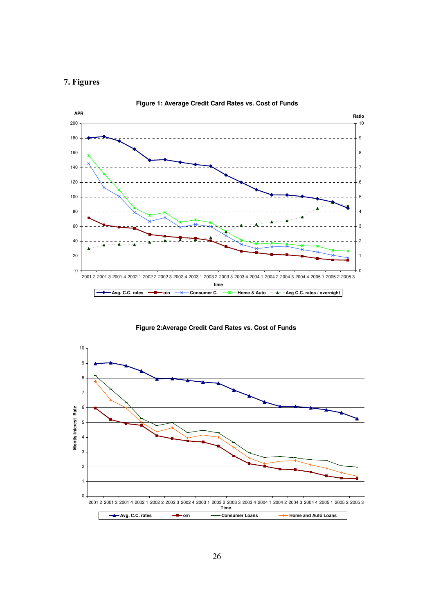# **7. Figures**



**Figure 1: Average Credit Card Rates vs. Cost of Funds**

**Figure 2:Average Credit Card Rates vs. Cost of Funds**

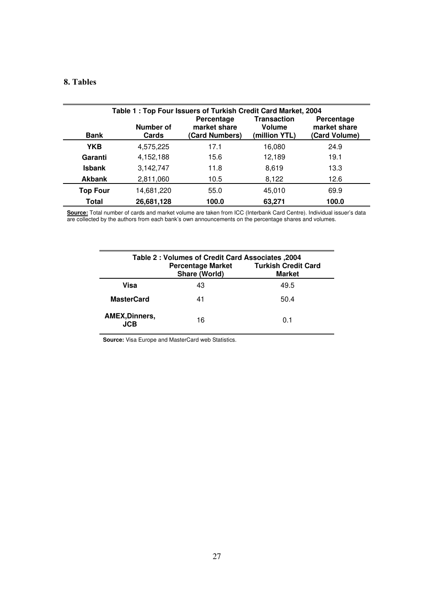# **8. Tables**

| Table 1: Top Four Issuers of Turkish Credit Card Market, 2004 |                    |                                              |                                               |                                             |  |  |
|---------------------------------------------------------------|--------------------|----------------------------------------------|-----------------------------------------------|---------------------------------------------|--|--|
| <b>Bank</b>                                                   | Number of<br>Cards | Percentage<br>market share<br>(Card Numbers) | Transaction<br><b>Volume</b><br>(million YTL) | Percentage<br>market share<br>(Card Volume) |  |  |
| <b>YKB</b>                                                    | 4,575,225          | 17.1                                         | 16.080                                        | 24.9                                        |  |  |
| Garanti                                                       | 4,152,188          | 15.6                                         | 12,189                                        | 19.1                                        |  |  |
| <b>Isbank</b>                                                 | 3,142,747          | 11.8                                         | 8.619                                         | 13.3                                        |  |  |
| <b>Akbank</b>                                                 | 2,811,060          | 10.5                                         | 8,122                                         | 12.6                                        |  |  |
| <b>Top Four</b>                                               | 14,681,220         | 55.0                                         | 45.010                                        | 69.9                                        |  |  |
| Total                                                         | 26,681,128         | 100.0                                        | 63,271                                        | 100.0                                       |  |  |

**Source:** Total number of cards and market volume are taken from ICC (Interbank Card Centre). Individual issuer's data are collected by the authors from each bank's own announcements on the percentage shares and volumes.

| 2004, Table 2 : Volumes of Credit Card Associates<br><b>Turkish Credit Card</b><br><b>Percentage Market</b><br>Share (World)<br><b>Market</b> |    |      |  |  |
|-----------------------------------------------------------------------------------------------------------------------------------------------|----|------|--|--|
| Visa                                                                                                                                          | 43 | 49.5 |  |  |
| <b>MasterCard</b>                                                                                                                             | 41 | 50.4 |  |  |
| <b>AMEX, Dinners,</b><br>.ICB                                                                                                                 | 16 | 0.1  |  |  |

**Source:** Visa Europe and MasterCard web Statistics.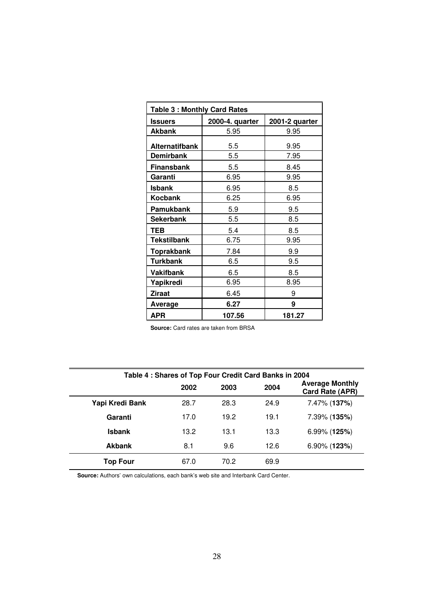| <b>Table 3: Monthly Card Rates</b> |                 |                |  |  |  |
|------------------------------------|-----------------|----------------|--|--|--|
| <b>Issuers</b>                     | 2000-4. quarter | 2001-2 quarter |  |  |  |
| Akbank                             | 5.95            | 9.95           |  |  |  |
| <b>Alternatifbank</b>              | 5.5             | 9.95           |  |  |  |
| Demirbank                          | 5.5             | 7.95           |  |  |  |
| <b>Finansbank</b>                  | 5.5             | 8.45           |  |  |  |
| Garanti                            | 6.95            | 9.95           |  |  |  |
| <b>Isbank</b>                      | 6.95            | 8.5            |  |  |  |
| Kocbank                            | 6.25            | 6.95           |  |  |  |
| Pamukbank                          | 5.9             | 9.5            |  |  |  |
| Sekerbank                          | 5.5             | 8.5            |  |  |  |
| TEB                                | 5.4             | 8.5            |  |  |  |
| <b>Tekstilbank</b>                 | 6.75            | 9.95           |  |  |  |
| <b>Toprakbank</b>                  | 7.84            | 9.9            |  |  |  |
| Turkbank                           | 6.5             | 9.5            |  |  |  |
| <b>Vakifbank</b>                   | 6.5             | 8.5            |  |  |  |
| Yapikredi                          | 6.95            | 8.95           |  |  |  |
| <b>Ziraat</b>                      | 6.45            | 9              |  |  |  |
| Average                            | 6.27            | 9              |  |  |  |
| APR                                | 107.56          | 181.27         |  |  |  |

**Source:** Card rates are taken from BRSA

| Table 4 : Shares of Top Four Credit Card Banks in 2004 |      |      |      |                                           |  |  |
|--------------------------------------------------------|------|------|------|-------------------------------------------|--|--|
|                                                        | 2002 | 2003 | 2004 | <b>Average Monthly</b><br>Card Rate (APR) |  |  |
| Yapi Kredi Bank                                        | 28.7 | 28.3 | 24.9 | 7.47% (137%)                              |  |  |
| Garanti                                                | 17.0 | 19.2 | 19.1 | 7.39% (135%)                              |  |  |
| <b>Isbank</b>                                          | 13.2 | 13.1 | 13.3 | $6.99\%$ (125%)                           |  |  |
| <b>Akbank</b>                                          | 8.1  | 9.6  | 12.6 | $6.90\%$ (123%)                           |  |  |
| Top Four                                               | 67.0 | 70.2 | 69.9 |                                           |  |  |

**Source:** Authors' own calculations, each bank's web site and Interbank Card Center.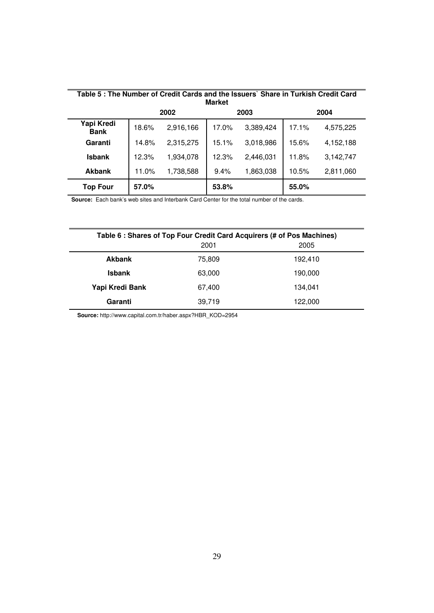| Table 5: The Number of Credit Cards and the Issuers` Share in Turkish Credit Card<br><b>Market</b> |                      |           |       |           |       |           |  |
|----------------------------------------------------------------------------------------------------|----------------------|-----------|-------|-----------|-------|-----------|--|
|                                                                                                    | 2002<br>2003<br>2004 |           |       |           |       |           |  |
| Yapi Kredi<br><b>Bank</b>                                                                          | 18.6%                | 2,916,166 | 17.0% | 3,389,424 | 17.1% | 4,575,225 |  |
| Garanti                                                                                            | 14.8%                | 2,315,275 | 15.1% | 3,018,986 | 15.6% | 4,152,188 |  |
| <b>Isbank</b>                                                                                      | 12.3%                | 1.934.078 | 12.3% | 2,446,031 | 11.8% | 3,142,747 |  |
| <b>Akbank</b>                                                                                      | 11.0%                | 1,738,588 | 9.4%  | 1,863,038 | 10.5% | 2,811,060 |  |
| <b>Top Four</b>                                                                                    | 57.0%                |           | 53.8% |           | 55.0% |           |  |

**Source:** Each bank's web sites and Interbank Card Center for the total number of the cards.

| Table 6 : Shares of Top Four Credit Card Acquirers (# of Pos Machines) |        |         |  |  |  |  |
|------------------------------------------------------------------------|--------|---------|--|--|--|--|
|                                                                        | 2001   | 2005    |  |  |  |  |
| <b>Akbank</b>                                                          | 75,809 | 192,410 |  |  |  |  |
| <b>Isbank</b>                                                          | 63,000 | 190,000 |  |  |  |  |
| Yapi Kredi Bank                                                        | 67,400 | 134.041 |  |  |  |  |
| Garanti                                                                | 39,719 | 122,000 |  |  |  |  |

**Source:** http://www.capital.com.tr/haber.aspx?HBR\_KOD=2954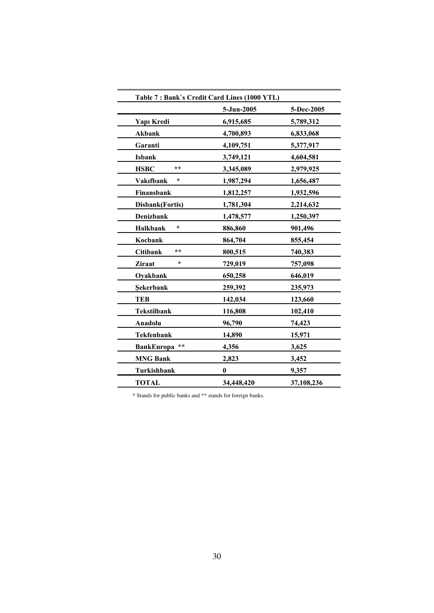| Table 7: Bank's Credit Card Lines (1000 YTL) |            |            |
|----------------------------------------------|------------|------------|
|                                              | 5-Jun-2005 | 5-Dec-2005 |
| Yapı Kredi                                   | 6,915,685  | 5,789,312  |
| <b>Akbank</b>                                | 4,700,893  | 6,833,068  |
| Garanti                                      | 4,109,751  | 5,377,917  |
| <b>Isbank</b>                                | 3,749,121  | 4,604,581  |
| **<br><b>HSBC</b>                            | 3,345,089  | 2,979,925  |
| *<br><b>Vakifbank</b>                        | 1,987,294  | 1,656,487  |
| Finansbank                                   | 1,812,257  | 1,932,596  |
| Disbank(Fortis)                              | 1,781,304  | 2,214,632  |
| <b>Denizbank</b>                             | 1,478,577  | 1,250,397  |
| $\star$<br><b>Halkbank</b>                   | 886,860    | 901,496    |
| Kocbank                                      | 864,704    | 855,454    |
| **<br><b>Citibank</b>                        | 800,515    | 740,383    |
| ÷<br><b>Ziraat</b>                           | 729,019    | 757,098    |
| Oyakbank                                     | 650,258    | 646,019    |
| Sekerbank                                    | 259,392    | 235,973    |
| <b>TEB</b>                                   | 142,034    | 123,660    |
| <b>Tekstilbank</b>                           | 116,808    | 102,410    |
| Anadolu                                      | 96,790     | 74,423     |
| <b>Tekfenbank</b>                            | 14,890     | 15,971     |
| **<br><b>BankEuropa</b>                      | 4,356      | 3,625      |
| <b>MNG Bank</b>                              | 2,823      | 3,452      |
| Turkishbank                                  | $\bf{0}$   | 9,357      |
| <b>TOTAL</b>                                 | 34,448,420 | 37,108,236 |

\* Stands for public banks and \*\* stands for foreign banks.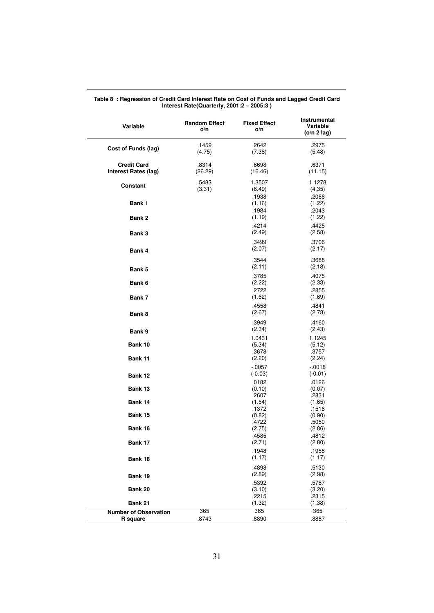| Variable                                   | <b>Random Effect</b><br>o/n | <b>Fixed Effect</b><br>o/n | Instrumental<br>Variable<br>(o/n 2 lag) |
|--------------------------------------------|-----------------------------|----------------------------|-----------------------------------------|
| Cost of Funds (lag)                        | .1459<br>(4.75)             | .2642<br>(7.38)            | .2975<br>(5.48)                         |
| <b>Credit Card</b><br>Interest Rates (lag) | .8314<br>(26.29)            | .6698<br>(16.46)           | .6371<br>(11.15)                        |
| Constant                                   | .5483<br>(3.31)             | 1.3507<br>(6.49)           | 1.1278<br>(4.35)<br>.2066               |
| Bank 1                                     |                             | .1938<br>(1.16)<br>.1984   | (1.22)<br>.2043                         |
| Bank 2                                     |                             | (1.19)<br>.4214            | (1.22)<br>.4425                         |
| Bank 3                                     |                             | (2.49)                     | (2.58)                                  |
| Bank 4                                     |                             | .3499<br>(2.07)            | .3706<br>(2.17)                         |
| Bank 5                                     |                             | .3544<br>(2.11)            | .3688<br>(2.18)                         |
| Bank 6                                     |                             | .3785<br>(2.22)            | .4075<br>(2.33)                         |
| Bank 7                                     |                             | .2722<br>(1.62)            | .2855<br>(1.69)                         |
| Bank 8                                     |                             | .4558<br>(2.67)            | .4841<br>(2.78)                         |
| Bank 9                                     |                             | .3949<br>(2.34)            | .4160<br>(2.43)                         |
| Bank 10                                    |                             | 1.0431<br>(5.34)           | 1.1245<br>(5.12)                        |
| Bank 11                                    |                             | .3678<br>(2.20)            | .3757<br>(2.24)                         |
| Bank 12                                    |                             | $-0.057$<br>$(-0.03)$      | $-.0018$<br>$(-0.01)$                   |
| Bank 13                                    |                             | .0182<br>(0.10)            | .0126<br>(0.07)                         |
| Bank 14                                    |                             | .2607<br>(1.54)            | .2831<br>(1.65)                         |
| Bank 15                                    |                             | .1372<br>(0.82)<br>.4722   | .1516<br>(0.90)<br>.5050                |
| Bank 16                                    |                             | (2.75)<br>.4585            | (2.86)<br>.4812                         |
| Bank 17                                    |                             | (2.71)<br>.1948            | (2.80)<br>.1958                         |
| Bank 18                                    |                             | (1.17)<br>.4898            | (1.17)<br>.5130                         |
| Bank 19                                    |                             | (2.89)<br>.5392            | (2.98)<br>.5787                         |
| Bank 20                                    |                             | (3.10)<br>.2215            | (3.20)<br>.2315                         |
| Bank 21                                    |                             | (1.32)                     | (1.38)                                  |
| <b>Number of Observation</b><br>R square   | 365<br>.8743                | 365<br>.8890               | 365<br>.8887                            |

**Table 8 : Regression of Credit Card Interest Rate on Cost of Funds and Lagged Credit Card Interest Rate(Quarterly, 2001:2 – 2005:3 )**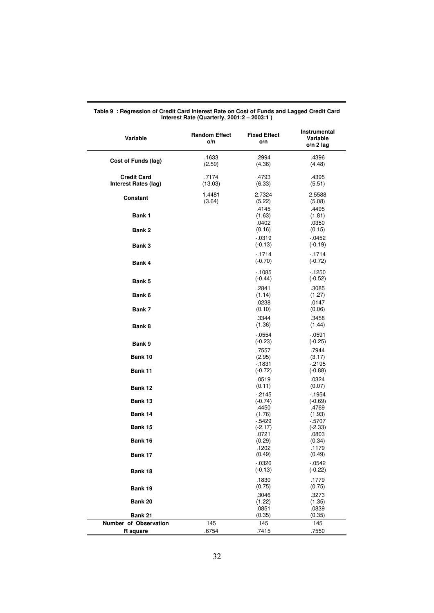| Variable                                   | <b>Random Effect</b><br>o/n | <b>Fixed Effect</b><br>o/n     | Instrumental<br>Variable<br>$o/n$ 2 lag |
|--------------------------------------------|-----------------------------|--------------------------------|-----------------------------------------|
| Cost of Funds (lag)                        | .1633<br>(2.59)             | .2994<br>(4.36)                | .4396<br>(4.48)                         |
| <b>Credit Card</b><br>Interest Rates (lag) | .7174<br>(13.03)            | .4793<br>(6.33)                | .4395<br>(5.51)                         |
| Constant                                   | 1.4481<br>(3.64)            | 2.7324<br>(5.22)               | 2.5588<br>(5.08)                        |
| Bank 1                                     |                             | .4145<br>(1.63)<br>.0402       | .4495<br>(1.81)<br>.0350                |
| Bank 2                                     |                             | (0.16)<br>$-0.0319$            | (0.15)<br>$-0.0452$                     |
| Bank 3                                     |                             | $(-0.13)$<br>$-1714$           | $(-0.19)$<br>$-1714$                    |
| Bank 4                                     |                             | $(-0.70)$<br>$-1085$           | $(-0.72)$<br>$-1250$                    |
| Bank 5                                     |                             | $(-0.44)$<br>.2841             | $(-0.52)$<br>.3085                      |
| Bank 6                                     |                             | (1.14)<br>.0238                | (1.27)<br>.0147                         |
| Bank 7                                     |                             | (0.10)<br>.3344                | (0.06)<br>.3458                         |
| Bank 8                                     |                             | (1.36)<br>$-0.0554$            | (1.44)<br>$-0591$                       |
| Bank 9                                     |                             | $(-0.23)$<br>.7557             | $(-0.25)$<br>.7944                      |
| Bank 10<br>Bank 11                         |                             | (2.95)<br>$-1831$<br>$(-0.72)$ | (3.17)<br>$-2195$<br>$(-0.88)$          |
| Bank 12                                    |                             | .0519<br>(0.11)                | .0324<br>(0.07)                         |
| Bank 13                                    |                             | $-2145$<br>$(-0.74)$           | $-1954$<br>$(-0.69)$                    |
| Bank 14                                    |                             | .4450<br>(1.76)<br>- 5429      | .4769<br>(1.93)<br>$-5707$              |
| Bank 15                                    |                             | $(-2.17)$<br>.0721             | $(-2.33)$<br>.0803                      |
| Bank 16<br>Bank 17                         |                             | (0.29)<br>.1202<br>(0.49)      | (0.34)<br>.1179<br>(0.49)               |
| Bank 18                                    |                             | $-0326$<br>$(-0.13)$           | $-0542$<br>$(-0.22)$                    |
| Bank 19                                    |                             | .1830<br>(0.75)                | .1779<br>(0.75)                         |
| Bank 20                                    |                             | .3046<br>(1.22)                | .3273<br>(1.35)                         |
| Bank 21                                    |                             | .0851<br>(0.35)                | .0839<br>(0.35)                         |
| Number of Observation<br><b>R</b> square   | 145<br>.6754                | 145<br>.7415                   | 145<br>.7550                            |
|                                            |                             |                                |                                         |

#### **Table 9 : Regression of Credit Card Interest Rate on Cost of Funds and Lagged Credit Card Interest Rate (Quarterly, 2001:2 – 2003:1 )**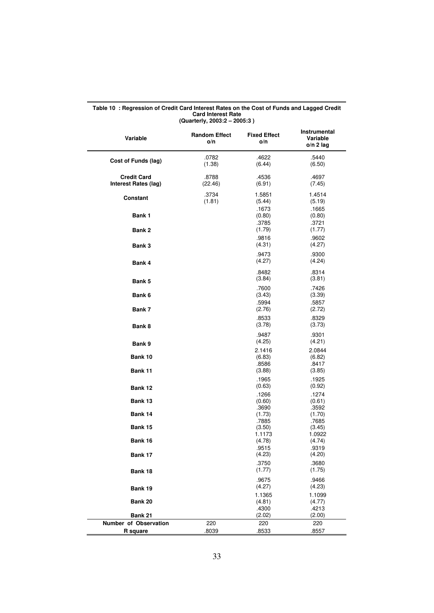| Variable                                   | <b>Random Effect</b><br>o/n | <b>Fixed Effect</b><br>o/n | Instrumental<br>Variable<br>$o/n$ 2 lag |
|--------------------------------------------|-----------------------------|----------------------------|-----------------------------------------|
| Cost of Funds (lag)                        | .0782<br>(1.38)             | .4622<br>(6.44)            | .5440<br>(6.50)                         |
| <b>Credit Card</b><br>Interest Rates (lag) | .8788<br>(22.46)            | .4536<br>(6.91)            | .4697<br>(7.45)                         |
| Constant                                   | .3734<br>(1.81)             | 1.5851<br>(5.44)           | 1.4514<br>(5.19)                        |
| Bank 1                                     |                             | .1673<br>(0.80)<br>.3785   | .1665<br>(0.80)<br>.3721                |
| Bank 2                                     |                             | (1.79)<br>.9816            | (1.77)<br>.9602                         |
| Bank 3                                     |                             | (4.31)                     | (4.27)                                  |
| Bank 4                                     |                             | .9473<br>(4.27)            | .9300<br>(4.24)                         |
| Bank 5                                     |                             | .8482<br>(3.84)            | .8314<br>(3.81)                         |
| Bank 6                                     |                             | .7600<br>(3.43)            | .7426<br>(3.39)                         |
| Bank 7                                     |                             | .5994<br>(2.76)            | .5857<br>(2.72)                         |
| Bank 8                                     |                             | .8533<br>(3.78)            | .8329<br>(3.73)                         |
| Bank 9                                     |                             | .9487<br>(4.25)            | .9301<br>(4.21)                         |
| Bank 10                                    |                             | 2.1416<br>(6.83)           | 2.0844<br>(6.82)                        |
| Bank 11                                    |                             | .8586<br>(3.88)            | .8417<br>(3.85)                         |
| Bank 12                                    |                             | .1965<br>(0.63)            | .1925<br>(0.92)                         |
| Bank 13                                    |                             | .1266<br>(0.60)<br>.3690   | .1274<br>(0.61)<br>.3592                |
| Bank 14                                    |                             | (1.73)<br>.7885            | (1.70)<br>.7685                         |
| Bank 15                                    |                             | (3.50)<br>1.1173           | (3.45)<br>1.0922                        |
| Bank 16                                    |                             | (4.78)<br>.9515            | (4.74)<br>.9319                         |
| Bank 17                                    |                             | (4.23)<br>.3750            | (4.20)<br>.3680                         |
| Bank 18                                    |                             | (1.77)<br>.9675            | (1.75)<br>.9466                         |
| Bank 19                                    |                             | (4.27)<br>1.1365           | (4.23)<br>1.1099                        |
| Bank 20                                    |                             | (4.81)<br>.4300            | (4.77)<br>.4213                         |
| Bank 21                                    |                             | (2.02)                     | (2.00)                                  |
| Number of Observation                      | 220                         | 220                        | 220                                     |
| R square                                   | .8039                       | .8533                      | .8557                                   |

#### **Table 10 : Regression of Credit Card Interest Rates on the Cost of Funds and Lagged Credit Card Interest Rate (Quarterly, 2003:2 – 2005:3 )**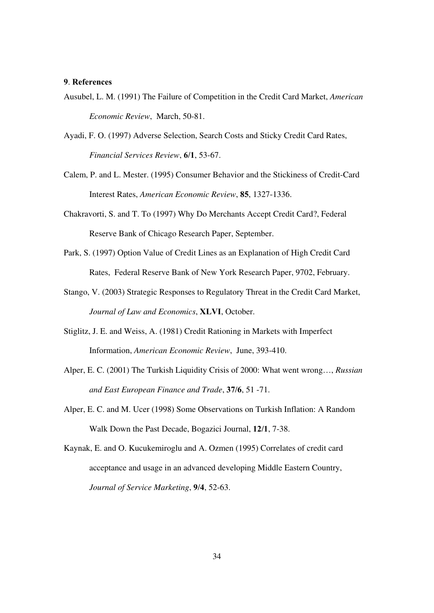#### **9**. **References**

- Ausubel, L. M. (1991) The Failure of Competition in the Credit Card Market, *American Economic Review*, March, 50-81.
- Ayadi, F. O. (1997) Adverse Selection, Search Costs and Sticky Credit Card Rates, *Financial Services Review*, **6/1**, 53-67.
- Calem, P. and L. Mester. (1995) Consumer Behavior and the Stickiness of Credit-Card Interest Rates, *American Economic Review*, **85**, 1327-1336.
- Chakravorti, S. and T. To (1997) Why Do Merchants Accept Credit Card?, Federal Reserve Bank of Chicago Research Paper, September.
- Park, S. (1997) Option Value of Credit Lines as an Explanation of High Credit Card Rates, Federal Reserve Bank of New York Research Paper, 9702, February.
- Stango, V. (2003) Strategic Responses to Regulatory Threat in the Credit Card Market, *Journal of Law and Economics*, **XLVI**, October.
- Stiglitz, J. E. and Weiss, A. (1981) Credit Rationing in Markets with Imperfect Information, *American Economic Review*, June, 393-410.
- Alper, E. C. (2001) The Turkish Liquidity Crisis of 2000: What went wrong…, *Russian and East European Finance and Trade*, **37/6**, 51 -71.
- Alper, E. C. and M. Ucer (1998) Some Observations on Turkish Inflation: A Random Walk Down the Past Decade, Bogazici Journal, **12/1**, 7-38.
- Kaynak, E. and O. Kucukemiroglu and A. Ozmen (1995) Correlates of credit card acceptance and usage in an advanced developing Middle Eastern Country, *Journal of Service Marketing*, **9/4**, 52-63.